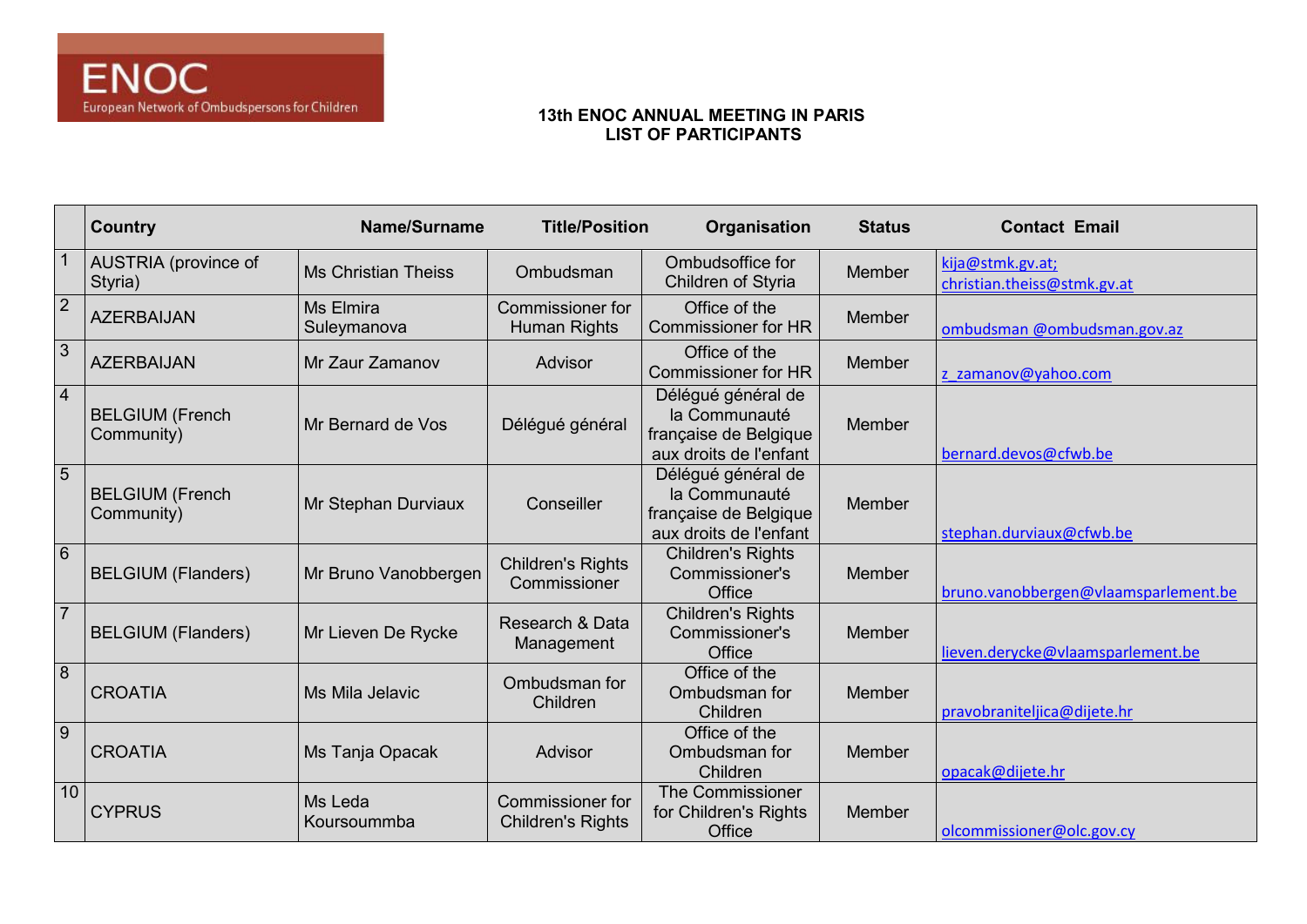|                 | <b>Country</b>                       | Name/Surname               | <b>Title/Position</b>                               | Organisation                                                                           | <b>Status</b> | <b>Contact Email</b>                            |
|-----------------|--------------------------------------|----------------------------|-----------------------------------------------------|----------------------------------------------------------------------------------------|---------------|-------------------------------------------------|
|                 | AUSTRIA (province of<br>Styria)      | <b>Ms Christian Theiss</b> | Ombudsman                                           | Ombudsoffice for<br>Children of Styria                                                 | Member        | kija@stmk.gv.at;<br>christian.theiss@stmk.gv.at |
| $\overline{2}$  | <b>AZERBAIJAN</b>                    | Ms Elmira<br>Suleymanova   | <b>Commissioner for</b><br>Human Rights             | Office of the<br><b>Commissioner for HR</b>                                            | <b>Member</b> | ombudsman @ombudsman.gov.az                     |
| $\overline{3}$  | <b>AZERBAIJAN</b>                    | Mr Zaur Zamanov            | Advisor                                             | Office of the<br><b>Commissioner for HR</b>                                            | Member        | z zamanov@yahoo.com                             |
| $\overline{4}$  | <b>BELGIUM</b> (French<br>Community) | Mr Bernard de Vos          | Délégué général                                     | Délégué général de<br>la Communauté<br>française de Belgique<br>aux droits de l'enfant | Member        | bernard.devos@cfwb.be                           |
| 5               | <b>BELGIUM (French</b><br>Community) | Mr Stephan Durviaux        | Conseiller                                          | Délégué général de<br>la Communauté<br>française de Belgique<br>aux droits de l'enfant | Member        | stephan.durviaux@cfwb.be                        |
| 6               | <b>BELGIUM (Flanders)</b>            | Mr Bruno Vanobbergen       | <b>Children's Rights</b><br>Commissioner            | <b>Children's Rights</b><br>Commissioner's<br>Office                                   | <b>Member</b> | bruno.vanobbergen@vlaamsparlement.be            |
| $\overline{7}$  | <b>BELGIUM (Flanders)</b>            | Mr Lieven De Rycke         | Research & Data<br>Management                       | <b>Children's Rights</b><br>Commissioner's<br>Office                                   | Member        | lieven.derycke@vlaamsparlement.be               |
| 8               | <b>CROATIA</b>                       | Ms Mila Jelavic            | Ombudsman for<br>Children                           | Office of the<br>Ombudsman for<br>Children                                             | <b>Member</b> | pravobraniteljica@dijete.hr                     |
| 9               | <b>CROATIA</b>                       | Ms Tanja Opacak            | Advisor                                             | Office of the<br>Ombudsman for<br>Children                                             | <b>Member</b> | opacak@dijete.hr                                |
| 10 <sup>°</sup> | <b>CYPRUS</b>                        | Ms Leda<br>Koursoummba     | <b>Commissioner for</b><br><b>Children's Rights</b> | <b>The Commissioner</b><br>for Children's Rights<br>Office                             | Member        | olcommissioner@olc.gov.cy                       |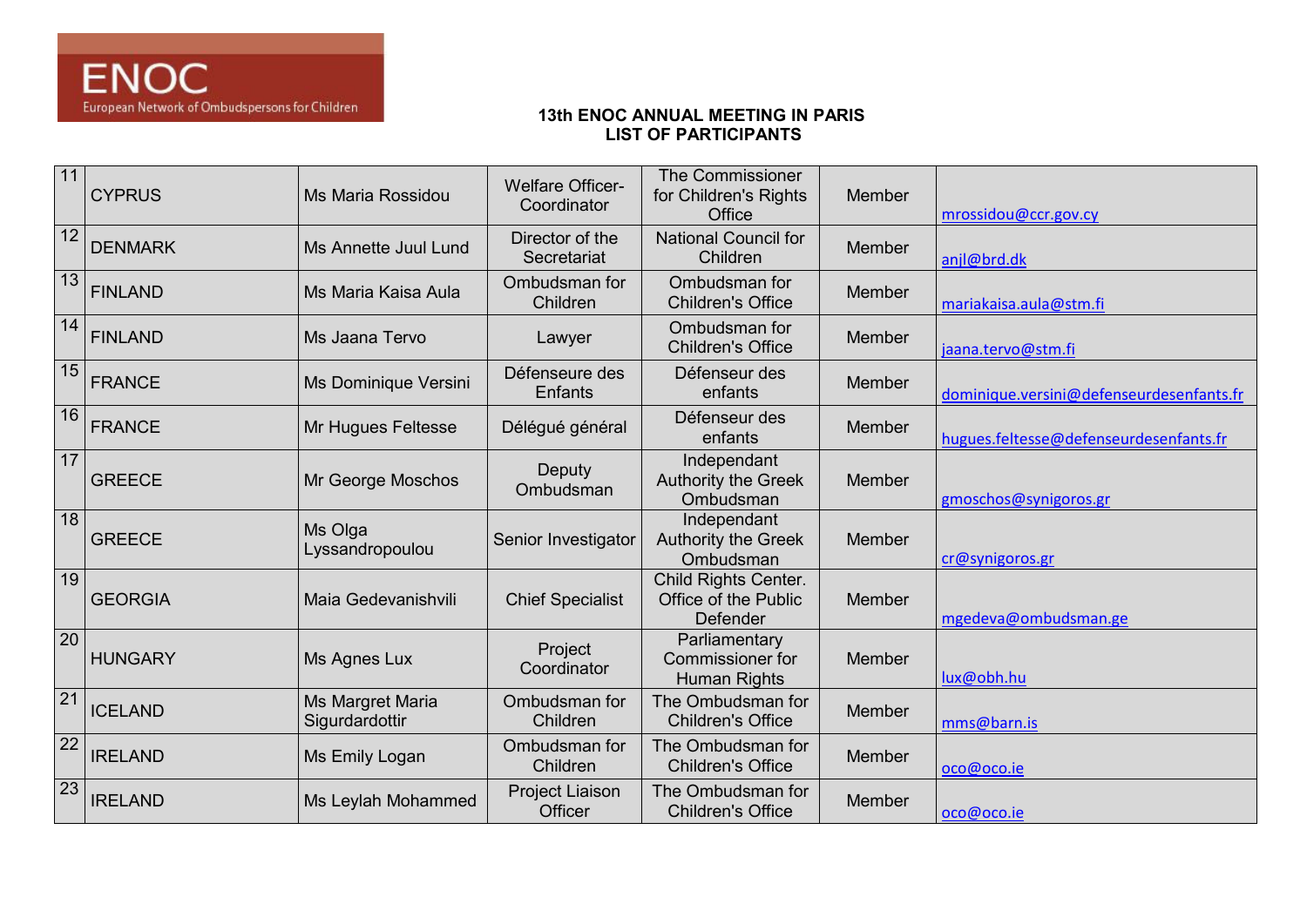| 11              | <b>CYPRUS</b>  | Ms Maria Rossidou                  | <b>Welfare Officer-</b><br>Coordinator | <b>The Commissioner</b><br>for Children's Rights<br>Office | Member | mrossidou@ccr.gov.cy                     |
|-----------------|----------------|------------------------------------|----------------------------------------|------------------------------------------------------------|--------|------------------------------------------|
| 12              | <b>DENMARK</b> | Ms Annette Juul Lund               | Director of the<br>Secretariat         | <b>National Council for</b><br>Children                    | Member | anjl@brd.dk                              |
| $\boxed{13}$    | <b>FINLAND</b> | Ms Maria Kaisa Aula                | Ombudsman for<br>Children              | Ombudsman for<br><b>Children's Office</b>                  | Member | mariakaisa.aula@stm.fi                   |
| 14              | <b>FINLAND</b> | Ms Jaana Tervo                     | Lawyer                                 | Ombudsman for<br><b>Children's Office</b>                  | Member | jaana.tervo@stm.fi                       |
| 15              | <b>FRANCE</b>  | Ms Dominique Versini               | Défenseure des<br>Enfants              | Défenseur des<br>enfants                                   | Member | dominique.versini@defenseurdesenfants.fr |
| 16              | <b>FRANCE</b>  | Mr Hugues Feltesse                 | Délégué général                        | Défenseur des<br>enfants                                   | Member | hugues.feltesse@defenseurdesenfants.fr   |
| 17              | <b>GREECE</b>  | Mr George Moschos                  | <b>Deputy</b><br>Ombudsman             | Independant<br><b>Authority the Greek</b><br>Ombudsman     | Member | gmoschos@synigoros.gr                    |
| 18              | <b>GREECE</b>  | Ms Olga<br>Lyssandropoulou         | Senior Investigator                    | Independant<br><b>Authority the Greek</b><br>Ombudsman     | Member | cr@synigoros.gr                          |
| 19              | <b>GEORGIA</b> | Maia Gedevanishvili                | <b>Chief Specialist</b>                | Child Rights Center.<br>Office of the Public<br>Defender   | Member | mgedeva@ombudsman.ge                     |
| <b>20</b>       | <b>HUNGARY</b> | Ms Agnes Lux                       | Project<br>Coordinator                 | Parliamentary<br>Commissioner for<br>Human Rights          | Member | lux@obh.hu                               |
| $\overline{21}$ | <b>ICELAND</b> | Ms Margret Maria<br>Sigurdardottir | Ombudsman for<br>Children              | The Ombudsman for<br><b>Children's Office</b>              | Member | mms@barn.is                              |
| $\overline{22}$ | <b>IRELAND</b> | Ms Emily Logan                     | Ombudsman for<br>Children              | The Ombudsman for<br><b>Children's Office</b>              | Member | oco@oco.ie                               |
| $\overline{23}$ | <b>IRELAND</b> | Ms Leylah Mohammed                 | Project Liaison<br>Officer             | The Ombudsman for<br><b>Children's Office</b>              | Member | oco@oco.ie                               |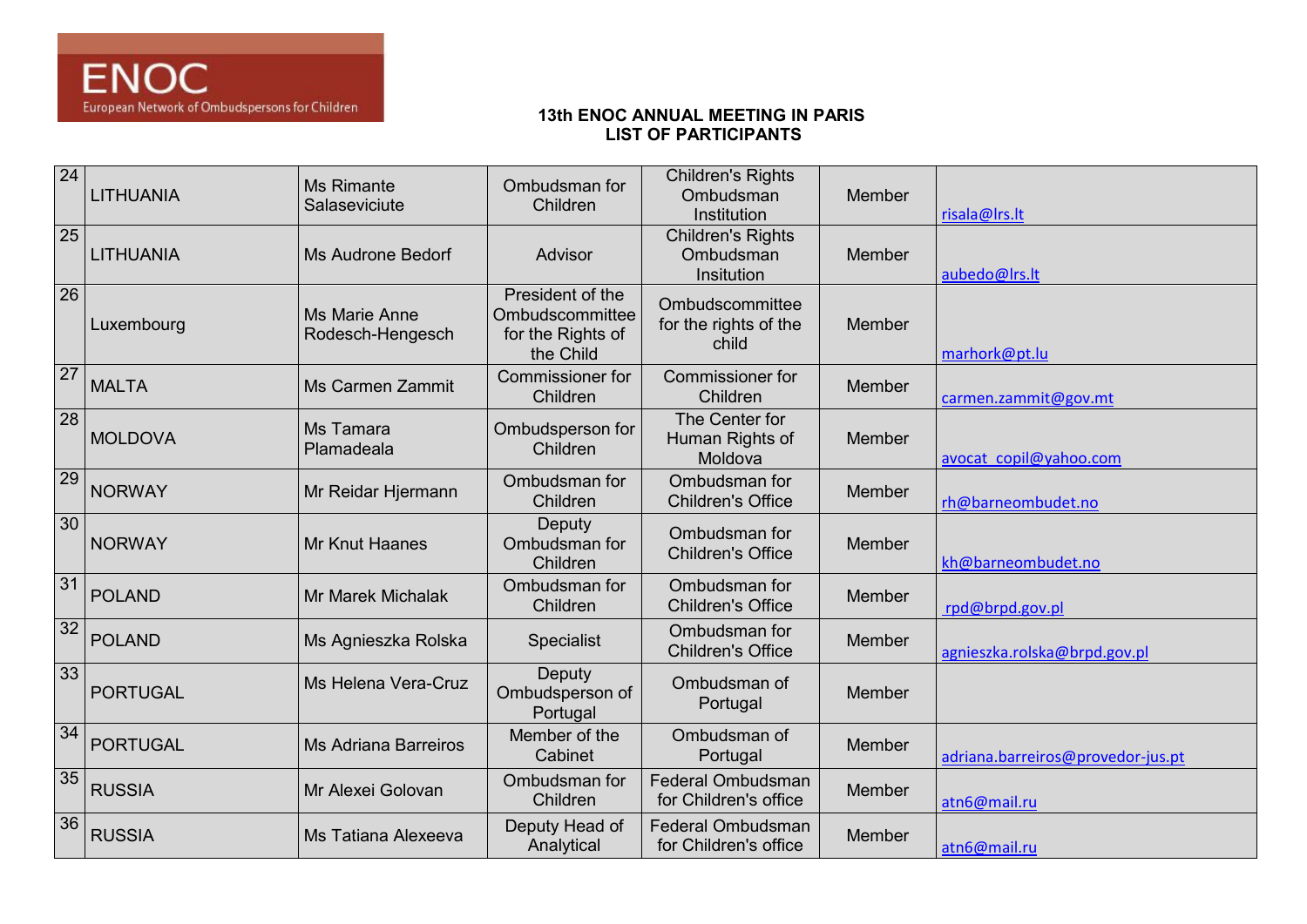| 24              | <b>LITHUANIA</b> | <b>Ms Rimante</b><br>Salaseviciute       | Ombudsman for<br>Children                                             | <b>Children's Rights</b><br>Ombudsman<br>Institution | Member | risala@Irs.lt                     |
|-----------------|------------------|------------------------------------------|-----------------------------------------------------------------------|------------------------------------------------------|--------|-----------------------------------|
| 25              | LITHUANIA        | <b>Ms Audrone Bedorf</b>                 | Advisor                                                               | <b>Children's Rights</b><br>Ombudsman<br>Insitution  | Member | aubedo@Irs.lt                     |
| 26              | Luxembourg       | <b>Ms Marie Anne</b><br>Rodesch-Hengesch | President of the<br>Ombudscommittee<br>for the Rights of<br>the Child | Ombudscommittee<br>for the rights of the<br>child    | Member | marhork@pt.lu                     |
| $\overline{27}$ | <b>MALTA</b>     | <b>Ms Carmen Zammit</b>                  | Commissioner for<br>Children                                          | <b>Commissioner for</b><br>Children                  | Member | carmen.zammit@gov.mt              |
| 28              | <b>MOLDOVA</b>   | Ms Tamara<br>Plamadeala                  | Ombudsperson for<br>Children                                          | The Center for<br>Human Rights of<br>Moldova         | Member | avocat copil@yahoo.com            |
| 29              | <b>NORWAY</b>    | Mr Reidar Hjermann                       | Ombudsman for<br>Children                                             | Ombudsman for<br><b>Children's Office</b>            | Member | rh@barneombudet.no                |
| 30              | <b>NORWAY</b>    | <b>Mr Knut Haanes</b>                    | Deputy<br>Ombudsman for<br>Children                                   | Ombudsman for<br><b>Children's Office</b>            | Member | kh@barneombudet.no                |
| $\overline{31}$ | <b>POLAND</b>    | Mr Marek Michalak                        | Ombudsman for<br>Children                                             | Ombudsman for<br><b>Children's Office</b>            | Member | rpd@brpd.gov.pl                   |
| 32              | <b>POLAND</b>    | Ms Agnieszka Rolska                      | Specialist                                                            | Ombudsman for<br><b>Children's Office</b>            | Member | agnieszka.rolska@brpd.gov.pl      |
| 33              | <b>PORTUGAL</b>  | Ms Helena Vera-Cruz                      | Deputy<br>Ombudsperson of<br>Portugal                                 | Ombudsman of<br>Portugal                             | Member |                                   |
| 34              | <b>PORTUGAL</b>  | <b>Ms Adriana Barreiros</b>              | Member of the<br>Cabinet                                              | Ombudsman of<br>Portugal                             | Member | adriana.barreiros@provedor-jus.pt |
| 35              | <b>RUSSIA</b>    | Mr Alexei Golovan                        | Ombudsman for<br>Children                                             | <b>Federal Ombudsman</b><br>for Children's office    | Member | atn6@mail.ru                      |
| 36              | <b>RUSSIA</b>    | Ms Tatiana Alexeeva                      | Deputy Head of<br>Analytical                                          | Federal Ombudsman<br>for Children's office           | Member | atn6@mail.ru                      |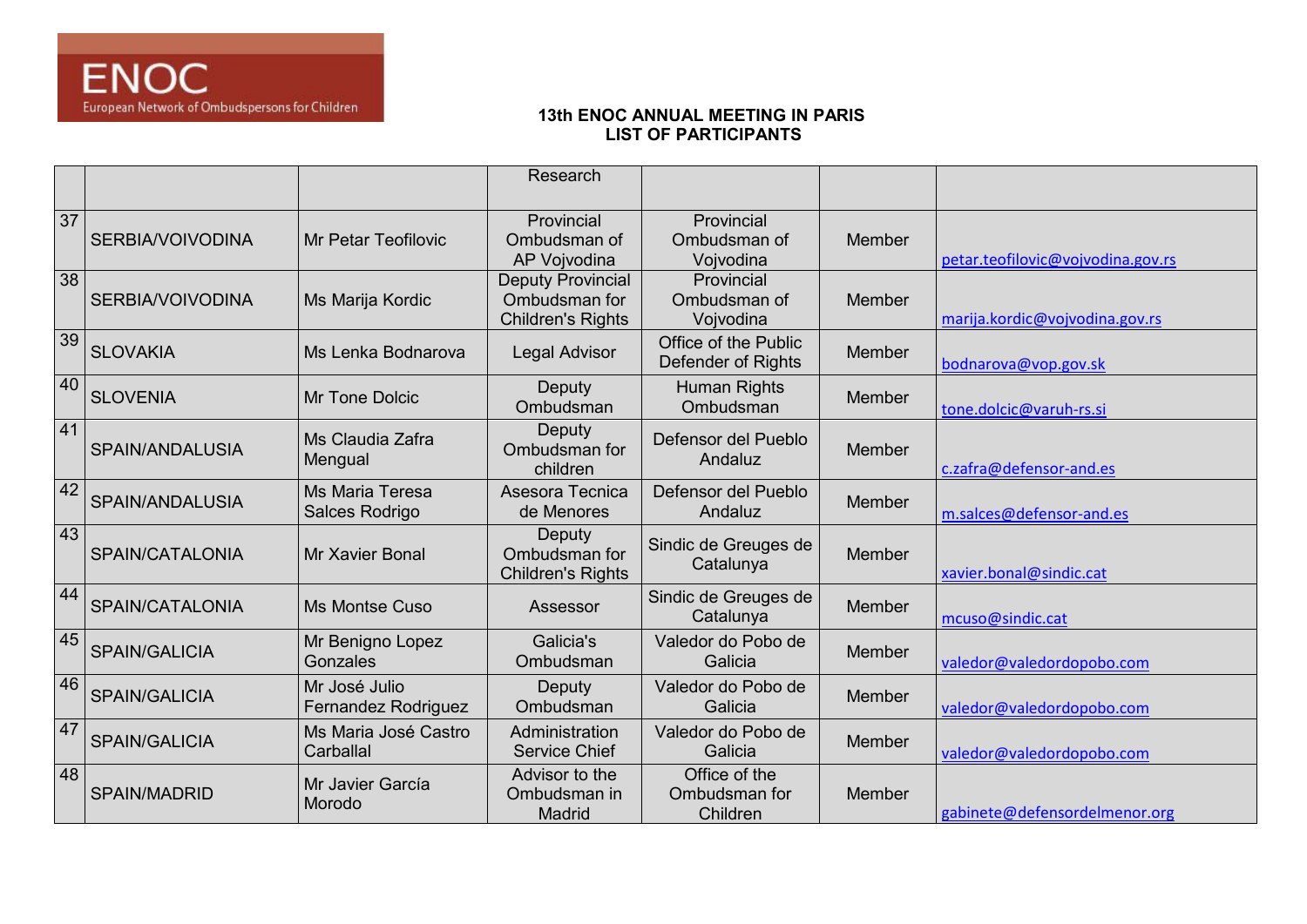|    |                      |                                      | Research                                                       |                                            |        |                                   |
|----|----------------------|--------------------------------------|----------------------------------------------------------------|--------------------------------------------|--------|-----------------------------------|
|    |                      |                                      |                                                                |                                            |        |                                   |
| 37 | SERBIA/VOIVODINA     | Mr Petar Teofilovic                  | Provincial<br>Ombudsman of<br>AP Vojvodina                     | Provincial<br>Ombudsman of<br>Vojvodina    | Member | petar.teofilovic@vojvodina.gov.rs |
| 38 | SERBIA/VOIVODINA     | Ms Marija Kordic                     | Deputy Provincial<br>Ombudsman for<br><b>Children's Rights</b> | Provincial<br>Ombudsman of<br>Vojvodina    | Member | marija.kordic@vojvodina.gov.rs    |
| 39 | <b>SLOVAKIA</b>      | Ms Lenka Bodnarova                   | Legal Advisor                                                  | Office of the Public<br>Defender of Rights | Member | bodnarova@vop.gov.sk              |
| 40 | <b>SLOVENIA</b>      | Mr Tone Dolcic                       | Deputy<br>Ombudsman                                            | <b>Human Rights</b><br>Ombudsman           | Member | tone.dolcic@varuh-rs.si           |
| 41 | SPAIN/ANDALUSIA      | Ms Claudia Zafra<br>Mengual          | Deputy<br>Ombudsman for<br>children                            | Defensor del Pueblo<br>Andaluz             | Member | c.zafra@defensor-and.es           |
| 42 | SPAIN/ANDALUSIA      | Ms Maria Teresa<br>Salces Rodrigo    | Asesora Tecnica<br>de Menores                                  | Defensor del Pueblo<br>Andaluz             | Member | m.salces@defensor-and.es          |
| 43 | SPAIN/CATALONIA      | Mr Xavier Bonal                      | Deputy<br>Ombudsman for<br><b>Children's Rights</b>            | Sindic de Greuges de<br>Catalunya          | Member | xavier.bonal@sindic.cat           |
| 44 | SPAIN/CATALONIA      | <b>Ms Montse Cuso</b>                | Assessor                                                       | Sindic de Greuges de<br>Catalunya          | Member | mcuso@sindic.cat                  |
| 45 | SPAIN/GALICIA        | Mr Benigno Lopez<br>Gonzales         | Galicia's<br>Ombudsman                                         | Valedor do Pobo de<br>Galicia              | Member | valedor@valedordopobo.com         |
| 46 | <b>SPAIN/GALICIA</b> | Mr José Julio<br>Fernandez Rodriguez | Deputy<br>Ombudsman                                            | Valedor do Pobo de<br>Galicia              | Member | valedor@valedordopobo.com         |
| 47 | SPAIN/GALICIA        | Ms Maria José Castro<br>Carballal    | Administration<br><b>Service Chief</b>                         | Valedor do Pobo de<br>Galicia              | Member | valedor@valedordopobo.com         |
| 48 | SPAIN/MADRID         | Mr Javier García<br>Morodo           | Advisor to the<br>Ombudsman in<br>Madrid                       | Office of the<br>Ombudsman for<br>Children | Member | gabinete@defensordelmenor.org     |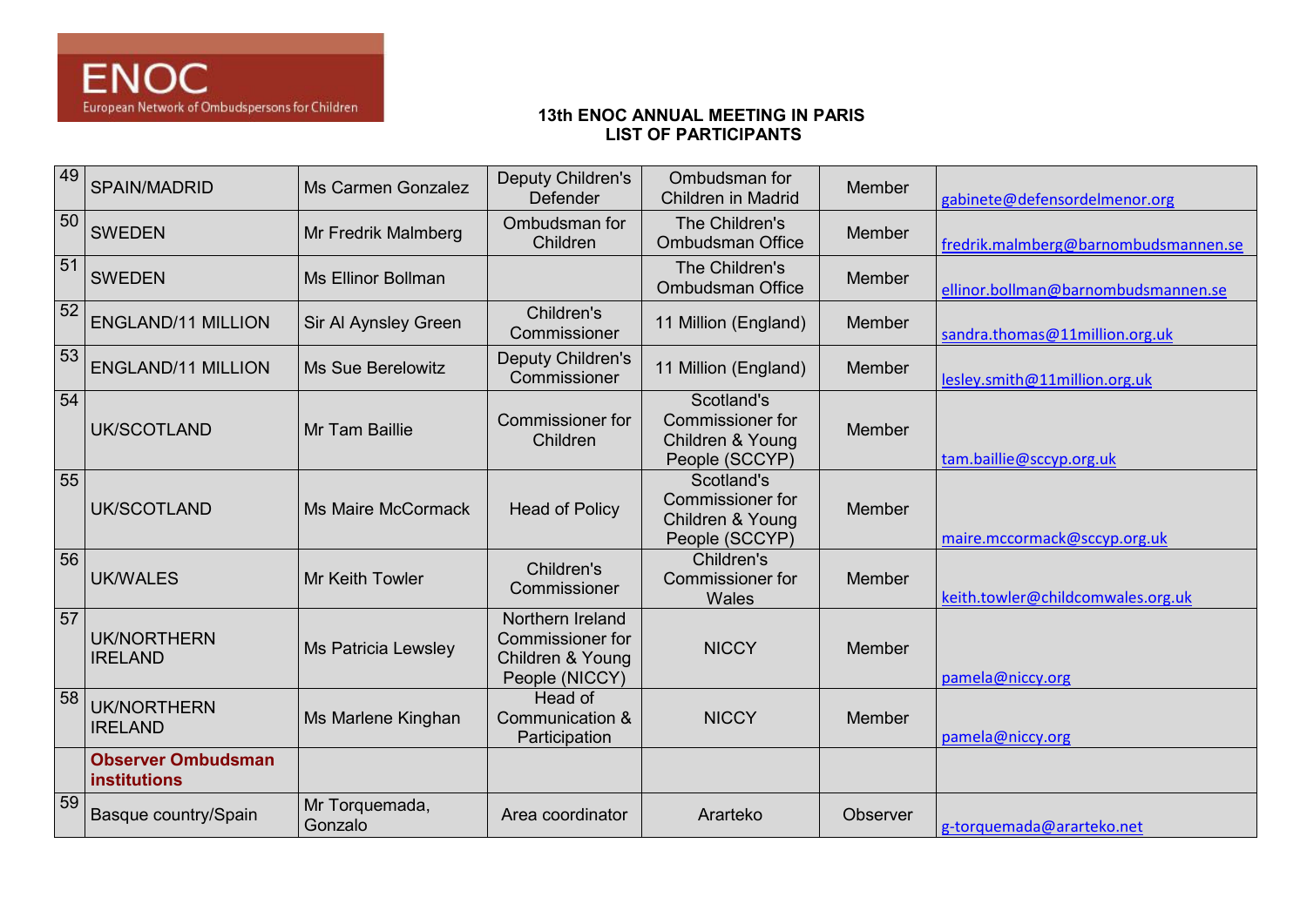| 49 | SPAIN/MADRID                              | Ms Carmen Gonzalez         | Deputy Children's<br>Defender                                              | Ombudsman for<br><b>Children in Madrid</b>                                  | Member   | gabinete@defensordelmenor.org        |
|----|-------------------------------------------|----------------------------|----------------------------------------------------------------------------|-----------------------------------------------------------------------------|----------|--------------------------------------|
| 50 | <b>SWEDEN</b>                             | Mr Fredrik Malmberg        | Ombudsman for<br>Children                                                  | The Children's<br><b>Ombudsman Office</b>                                   | Member   | fredrik.malmberg@barnombudsmannen.se |
| 51 | <b>SWEDEN</b>                             | Ms Ellinor Bollman         |                                                                            | The Children's<br><b>Ombudsman Office</b>                                   | Member   | ellinor.bollman@barnombudsmannen.se  |
| 52 | <b>ENGLAND/11 MILLION</b>                 | Sir Al Aynsley Green       | Children's<br>Commissioner                                                 | 11 Million (England)                                                        | Member   | sandra.thomas@11million.org.uk       |
| 53 | <b>ENGLAND/11 MILLION</b>                 | Ms Sue Berelowitz          | <b>Deputy Children's</b><br>Commissioner                                   | 11 Million (England)                                                        | Member   | lesley.smith@11million.org.uk        |
| 54 | <b>UK/SCOTLAND</b>                        | Mr Tam Baillie             | Commissioner for<br>Children                                               | Scotland's<br><b>Commissioner for</b><br>Children & Young<br>People (SCCYP) | Member   | tam.baillie@sccyp.org.uk             |
| 55 | UK/SCOTLAND                               | <b>Ms Maire McCormack</b>  | <b>Head of Policy</b>                                                      | Scotland's<br>Commissioner for<br>Children & Young<br>People (SCCYP)        | Member   | maire.mccormack@sccyp.org.uk         |
| 56 | <b>UK/WALES</b>                           | Mr Keith Towler            | Children's<br>Commissioner                                                 | Children's<br>Commissioner for<br><b>Wales</b>                              | Member   | keith.towler@childcomwales.org.uk    |
| 57 | <b>UK/NORTHERN</b><br><b>IRELAND</b>      | <b>Ms Patricia Lewsley</b> | Northern Ireland<br>Commissioner for<br>Children & Young<br>People (NICCY) | <b>NICCY</b>                                                                | Member   | pamela@niccy.org                     |
| 58 | <b>UK/NORTHERN</b><br><b>IRELAND</b>      | Ms Marlene Kinghan         | Head of<br>Communication &<br>Participation                                | <b>NICCY</b>                                                                | Member   | pamela@niccy.org                     |
|    | <b>Observer Ombudsman</b><br>institutions |                            |                                                                            |                                                                             |          |                                      |
| 59 | Basque country/Spain                      | Mr Torquemada,<br>Gonzalo  | Area coordinator                                                           | Ararteko                                                                    | Observer | g-torquemada@ararteko.net            |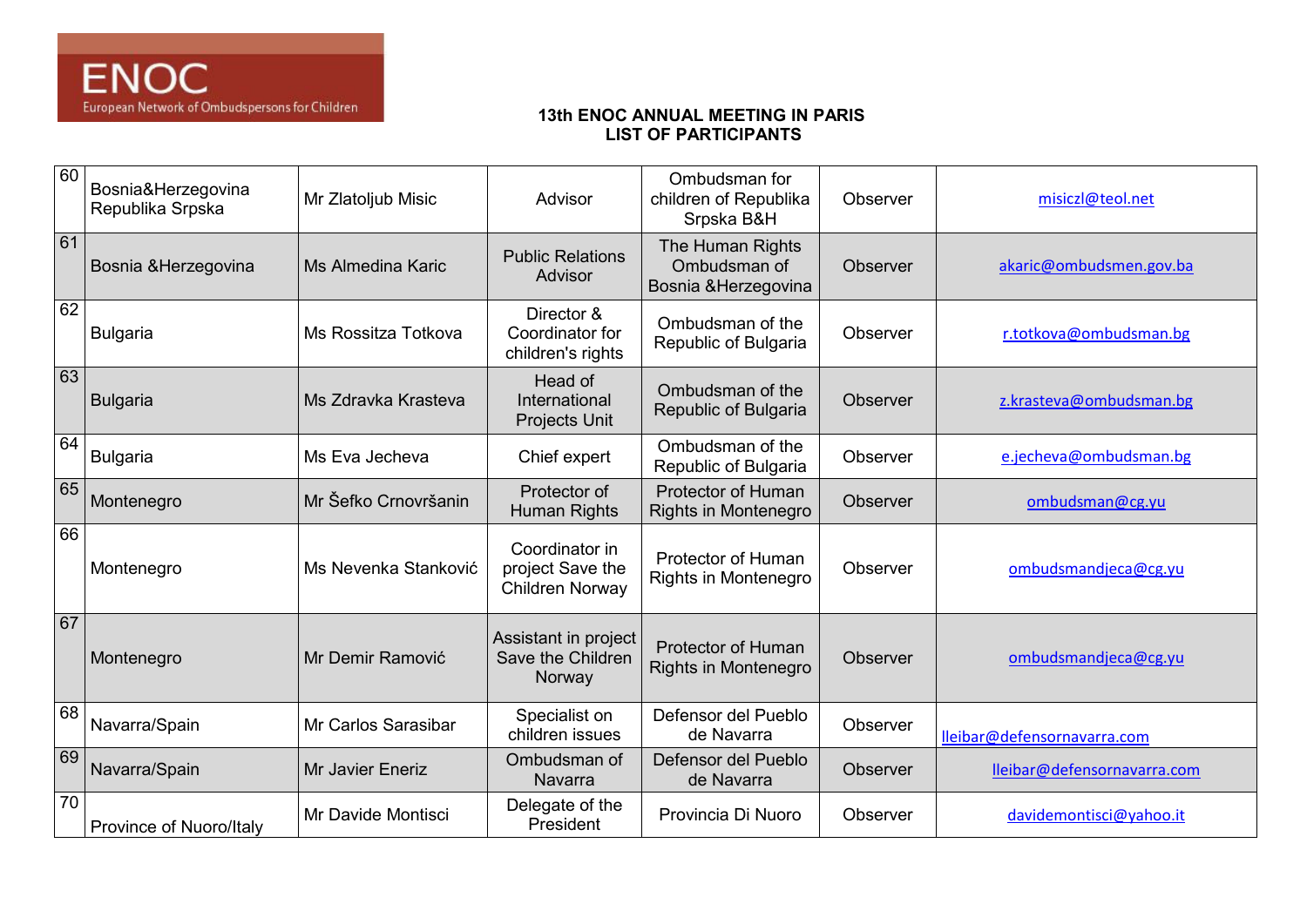| 60 | Bosnia&Herzegovina<br>Republika Srpska | Mr Zlatoljub Misic     | Advisor                                               | Ombudsman for<br>children of Republika<br>Srpska B&H     | Observer | misiczl@teol.net            |
|----|----------------------------------------|------------------------|-------------------------------------------------------|----------------------------------------------------------|----------|-----------------------------|
| 61 | Bosnia & Herzegovina                   | l Ms Almedina Karic    | <b>Public Relations</b><br>Advisor                    | The Human Rights<br>Ombudsman of<br>Bosnia & Herzegovina | Observer | akaric@ombudsmen.gov.ba     |
| 62 | <b>Bulgaria</b>                        | Ms Rossitza Totkova    | Director &<br>Coordinator for<br>children's rights    | Ombudsman of the<br>Republic of Bulgaria                 | Observer | r.totkova@ombudsman.bg      |
| 63 | <b>Bulgaria</b>                        | Ms Zdravka Krasteva    | Head of<br>International<br><b>Projects Unit</b>      | Ombudsman of the<br>Republic of Bulgaria                 | Observer | z.krasteva@ombudsman.bg     |
| 64 | <b>Bulgaria</b>                        | Ms Eva Jecheva         | Chief expert                                          | Ombudsman of the<br>Republic of Bulgaria                 | Observer | e.jecheva@ombudsman.bg      |
| 65 | Montenegro                             | l Mr Šefko Crnovršanin | Protector of<br>Human Rights                          | Protector of Human<br>Rights in Montenegro               | Observer | ombudsman@cg.yu             |
| 66 | Montenegro                             | Ms Nevenka Stanković   | Coordinator in<br>project Save the<br>Children Norway | Protector of Human<br>Rights in Montenegro               | Observer | ombudsmandjeca@cg.yu        |
| 67 | Montenegro                             | Mr Demir Ramović       | Assistant in project<br>Save the Children<br>Norway   | <b>Protector of Human</b><br>Rights in Montenegro        | Observer | ombudsmandjeca@cg.yu        |
| 68 | Navarra/Spain                          | Mr Carlos Sarasibar    | Specialist on<br>children issues                      | Defensor del Pueblo<br>de Navarra                        | Observer | lleibar@defensornavarra.com |
| 69 | Navarra/Spain                          | Mr Javier Eneriz       | Ombudsman of<br>Navarra                               | Defensor del Pueblo<br>de Navarra                        | Observer | lleibar@defensornavarra.com |
| 70 | Province of Nuoro/Italy                | Mr Davide Montisci     | Delegate of the<br>President                          | Provincia Di Nuoro                                       | Observer | davidemontisci@yahoo.it     |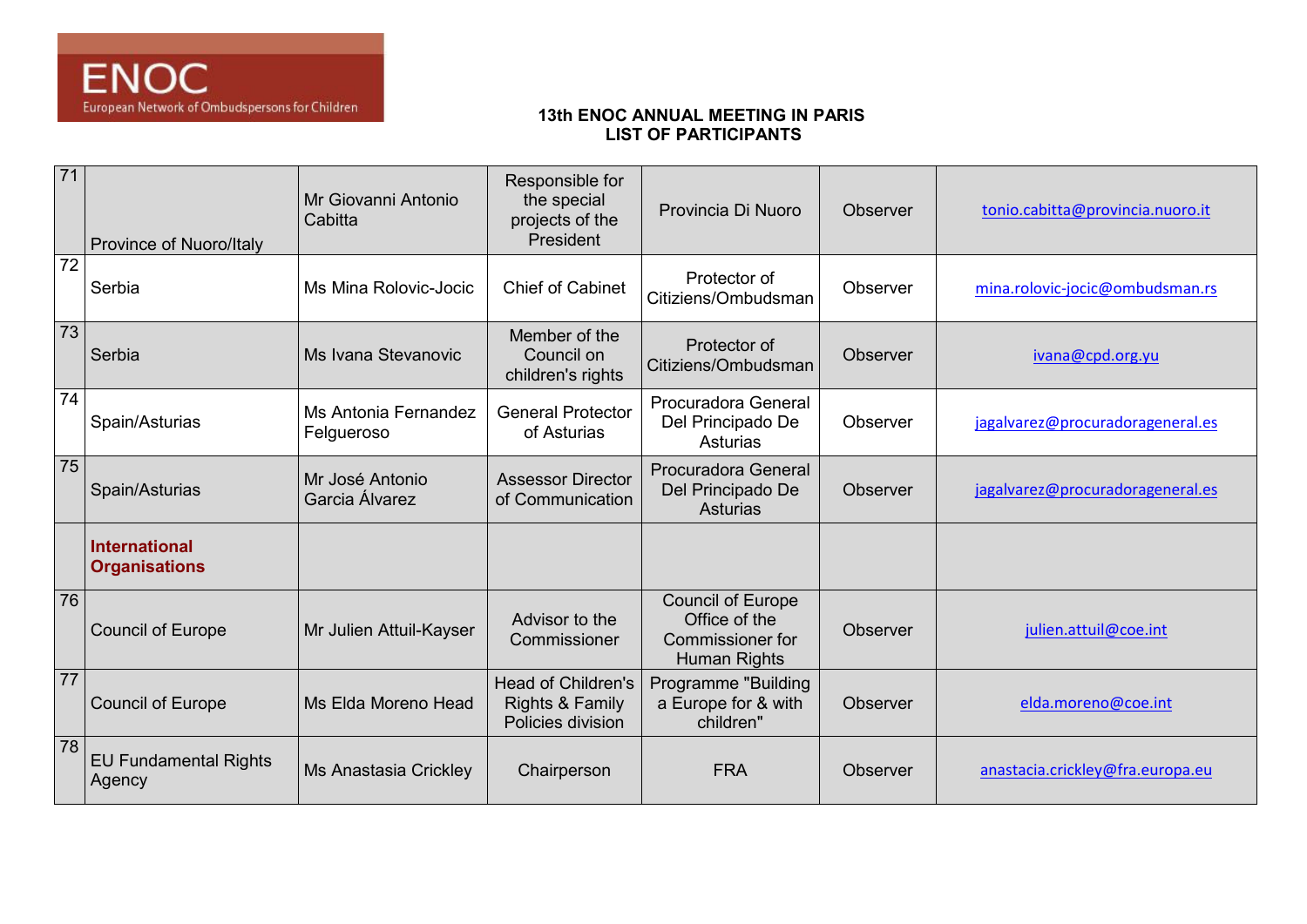| 71 | Province of Nuoro/Italy                      | Mr Giovanni Antonio<br>Cabitta     | Responsible for<br>the special<br>projects of the<br>President | Provincia Di Nuoro                                                            | Observer | tonio.cabitta@provincia.nuoro.it |
|----|----------------------------------------------|------------------------------------|----------------------------------------------------------------|-------------------------------------------------------------------------------|----------|----------------------------------|
| 72 | Serbia                                       | Ms Mina Rolovic-Jocic              | <b>Chief of Cabinet</b>                                        | Protector of<br>Citiziens/Ombudsman                                           | Observer | mina.rolovic-jocic@ombudsman.rs  |
| 73 | Serbia                                       | Ms Ivana Stevanovic                | Member of the<br>Council on<br>children's rights               | Protector of<br>Citiziens/Ombudsman                                           | Observer | ivana@cpd.org.yu                 |
| 74 | Spain/Asturias                               | Ms Antonia Fernandez<br>Felgueroso | <b>General Protector</b><br>of Asturias                        | Procuradora General<br>Del Principado De<br>Asturias                          | Observer | jagalvarez@procuradorageneral.es |
| 75 | Spain/Asturias                               | Mr José Antonio<br>Garcia Álvarez  | <b>Assessor Director</b><br>of Communication                   | Procuradora General<br>Del Principado De<br>Asturias                          | Observer | jagalvarez@procuradorageneral.es |
|    | <b>International</b><br><b>Organisations</b> |                                    |                                                                |                                                                               |          |                                  |
| 76 | <b>Council of Europe</b>                     | Mr Julien Attuil-Kayser            | Advisor to the<br>Commissioner                                 | <b>Council of Europe</b><br>Office of the<br>Commissioner for<br>Human Rights | Observer | julien.attuil@coe.int            |
| 77 | <b>Council of Europe</b>                     | Ms Elda Moreno Head                | Head of Children's<br>Rights & Family<br>Policies division     | Programme "Building<br>a Europe for & with<br>children"                       | Observer | elda.moreno@coe.int              |
| 78 | <b>EU Fundamental Rights</b><br>Agency       | Ms Anastasia Crickley              | Chairperson                                                    | <b>FRA</b>                                                                    | Observer | anastacia.crickley@fra.europa.eu |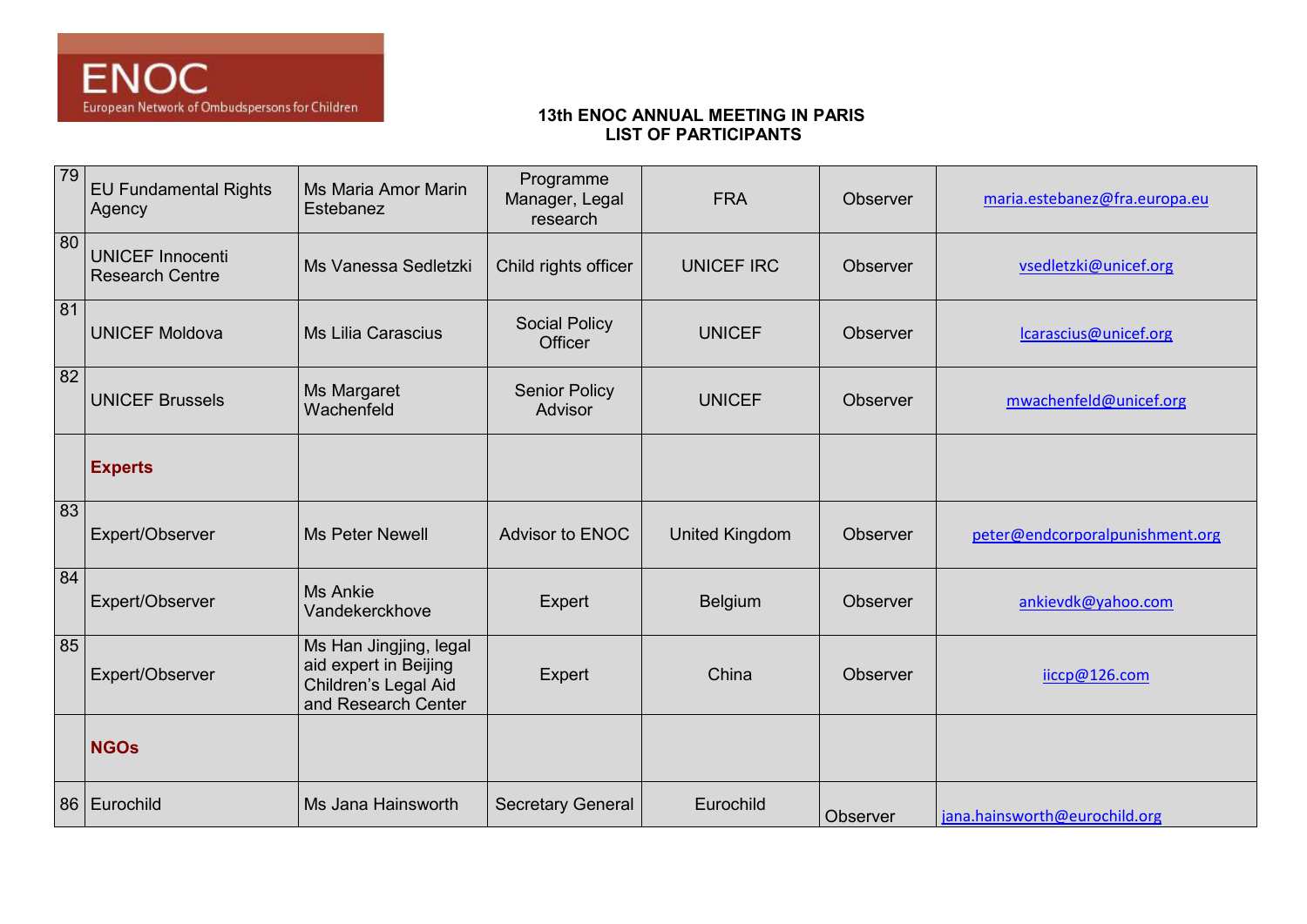| 79              | <b>EU Fundamental Rights</b><br>Agency            | Ms Maria Amor Marin<br>Estebanez                                                               | Programme<br>Manager, Legal<br>research | <b>FRA</b>            | Observer        | maria.estebanez@fra.europa.eu   |
|-----------------|---------------------------------------------------|------------------------------------------------------------------------------------------------|-----------------------------------------|-----------------------|-----------------|---------------------------------|
| $\overline{80}$ | <b>UNICEF Innocenti</b><br><b>Research Centre</b> | Ms Vanessa Sedletzki                                                                           | Child rights officer                    | <b>UNICEF IRC</b>     | <b>Observer</b> | vsedletzki@unicef.org           |
| 81              | <b>UNICEF Moldova</b>                             | Ms Lilia Carascius                                                                             | <b>Social Policy</b><br>Officer         | <b>UNICEF</b>         | Observer        | lcarascius@unicef.org           |
| 82              | <b>UNICEF Brussels</b>                            | Ms Margaret<br>Wachenfeld                                                                      | <b>Senior Policy</b><br>Advisor         | <b>UNICEF</b>         | Observer        | mwachenfeld@unicef.org          |
|                 | <b>Experts</b>                                    |                                                                                                |                                         |                       |                 |                                 |
| 83              | Expert/Observer                                   | Ms Peter Newell                                                                                | Advisor to ENOC                         | <b>United Kingdom</b> | Observer        | peter@endcorporalpunishment.org |
| 84              | Expert/Observer                                   | <b>Ms Ankie</b><br>Vandekerckhove                                                              | Expert                                  | <b>Belgium</b>        | <b>Observer</b> | ankievdk@yahoo.com              |
| 85              | Expert/Observer                                   | Ms Han Jingjing, legal<br>aid expert in Beijing<br>Children's Legal Aid<br>and Research Center | Expert                                  | China                 | Observer        | iiccp@126.com                   |
|                 | <b>NGOs</b>                                       |                                                                                                |                                         |                       |                 |                                 |
|                 | 86 Eurochild                                      | Ms Jana Hainsworth                                                                             | <b>Secretary General</b>                | Eurochild             | Observer        | jana.hainsworth@eurochild.org   |